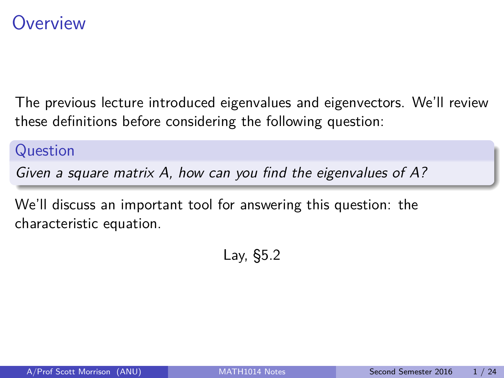### <span id="page-0-0"></span>**Overview**

The previous lecture introduced eigenvalues and eigenvectors. We'll review these definitions before considering the following question:

### Question

Given a square matrix A, how can you find the eigenvalues of A?

We'll discuss an important tool for answering this question: the characteristic equation.

Lay, §5.2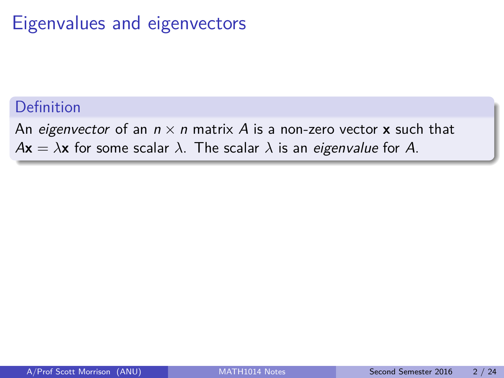## Eigenvalues and eigenvectors

### Definition

An eigenvector of an  $n \times n$  matrix A is a non-zero vector **x** such that  $A\mathbf{x} = \lambda \mathbf{x}$  for some scalar  $\lambda$ . The scalar  $\lambda$  is an *eigenvalue* for A.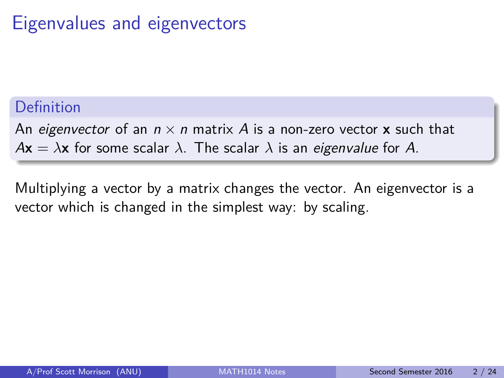## Eigenvalues and eigenvectors

### Definition

An eigenvector of an  $n \times n$  matrix A is a non-zero vector **x** such that  $A\mathbf{x} = \lambda \mathbf{x}$  for some scalar  $\lambda$ . The scalar  $\lambda$  is an *eigenvalue* for A.

Multiplying a vector by a matrix changes the vector. An eigenvector is a vector which is changed in the simplest way: by scaling.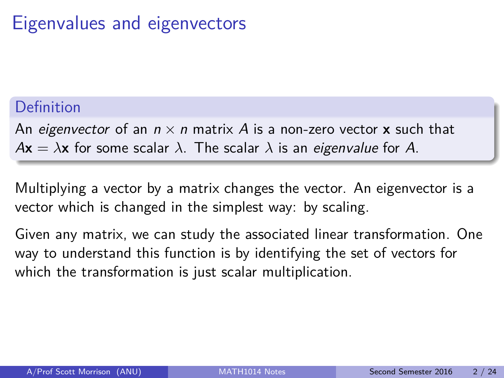## Eigenvalues and eigenvectors

### Definition

An eigenvector of an  $n \times n$  matrix A is a non-zero vector **x** such that  $A\mathbf{x} = \lambda \mathbf{x}$  for some scalar  $\lambda$ . The scalar  $\lambda$  is an *eigenvalue* for A.

Multiplying a vector by a matrix changes the vector. An eigenvector is a vector which is changed in the simplest way: by scaling.

Given any matrix, we can study the associated linear transformation. One way to understand this function is by identifying the set of vectors for which the transformation is just scalar multiplication.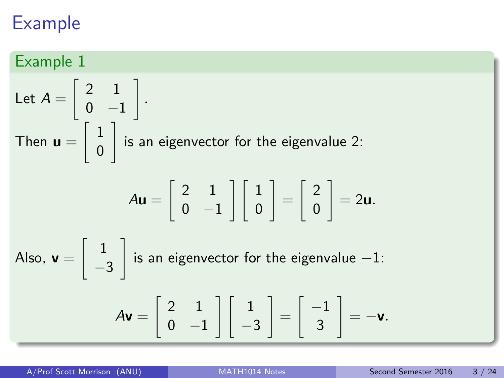### Example 1

Let 
$$
A = \begin{bmatrix} 2 & 1 \\ 0 & -1 \end{bmatrix}
$$
.  
\nThen  $\mathbf{u} = \begin{bmatrix} 1 \\ 0 \end{bmatrix}$  is an eigenvector for the eigenvalue 2:  
\n
$$
A\mathbf{u} = \begin{bmatrix} 2 & 1 \\ 0 & -1 \end{bmatrix} \begin{bmatrix} 1 \\ 0 \end{bmatrix} = \begin{bmatrix} 2 \\ 0 \end{bmatrix} = 2\mathbf{u}.
$$
\nAlso,  $\mathbf{v} = \begin{bmatrix} 1 \\ -3 \end{bmatrix}$  is an eigenvector for the eigenvalue -1:  
\n
$$
A\mathbf{v} = \begin{bmatrix} 2 & 1 \\ 0 & -1 \end{bmatrix} \begin{bmatrix} 1 \\ -3 \end{bmatrix} = \begin{bmatrix} -1 \\ 3 \end{bmatrix} = -\mathbf{v}.
$$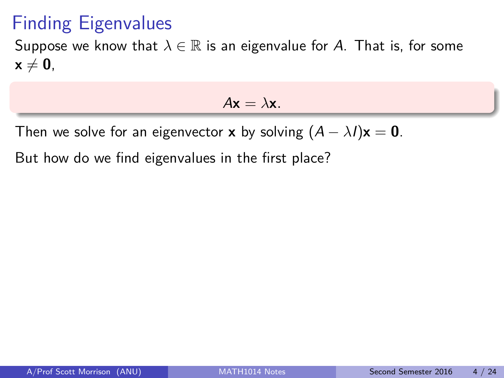## Finding Eigenvalues

Suppose we know that  $\lambda \in \mathbb{R}$  is an eigenvalue for A. That is, for some  $x \neq 0$ ,

 $A\mathbf{x} = \lambda \mathbf{x}$ .

Then we solve for an eigenvector **x** by solving  $(A - \lambda I)\mathbf{x} = \mathbf{0}$ .

But how do we find eigenvalues in the first place?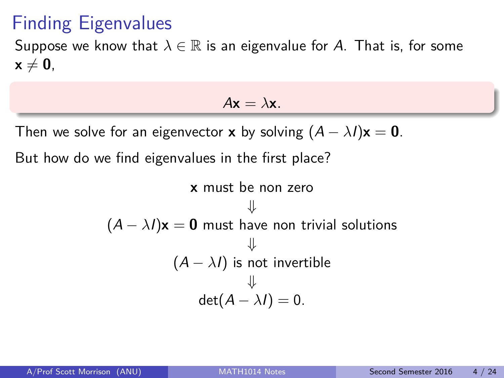## Finding Eigenvalues

Suppose we know that  $\lambda \in \mathbb{R}$  is an eigenvalue for A. That is, for some  $x \neq 0$ ,

 $A\mathbf{x} = \lambda \mathbf{x}$ .

Then we solve for an eigenvector **x** by solving  $(A - \lambda I)\mathbf{x} = \mathbf{0}$ .

But how do we find eigenvalues in the first place?

**x** must be non zero  
\n↓  
\n
$$
(A - \lambda I)\mathbf{x} = \mathbf{0}
$$
 must have non trivial solutions  
\n↓  
\n $(A - \lambda I)$  is not invertible  
\n↓  
\n $det(A - \lambda I) = 0.$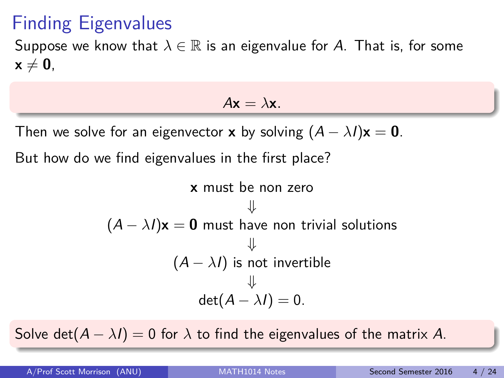## Finding Eigenvalues

Suppose we know that  $\lambda \in \mathbb{R}$  is an eigenvalue for A. That is, for some  $x \neq 0$ ,

 $A\mathbf{x} = \lambda \mathbf{x}$ .

Then we solve for an eigenvector **x** by solving  $(A - \lambda I)\mathbf{x} = \mathbf{0}$ .

But how do we find eigenvalues in the first place?

**x** must be non zero  
\n↓  
\n
$$
(A - \lambda I)\mathbf{x} = \mathbf{0}
$$
 must have non trivial solutions  
\n↓  
\n $(A - \lambda I)$  is not invertible  
\n↓  
\n $det(A - \lambda I) = 0.$ 

Solve det( $A - \lambda I$ ) = 0 for  $\lambda$  to find the eigenvalues of the matrix A.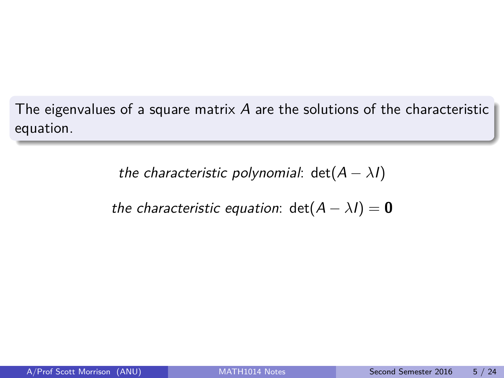The eigenvalues of a square matrix A are the solutions of the characteristic equation.

the characteristic polynomial:  $det(A - \lambda I)$ 

the characteristic equation:  $det(A - \lambda I) = 0$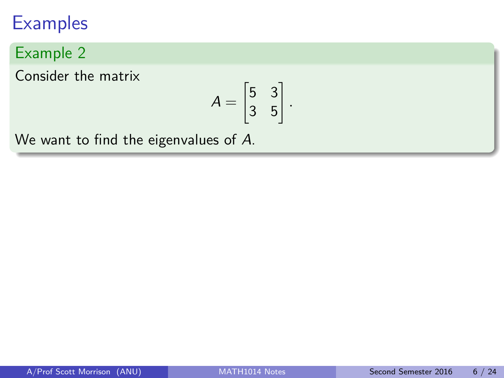### Example 2

Consider the matrix

$$
A = \begin{bmatrix} 5 & 3 \\ 3 & 5 \end{bmatrix}.
$$

We want to find the eigenvalues of A.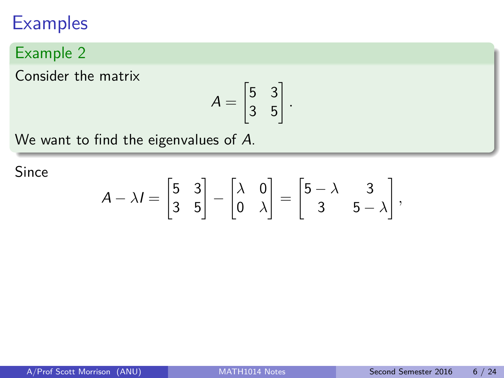### Example 2

Consider the matrix

$$
A = \begin{bmatrix} 5 & 3 \\ 3 & 5 \end{bmatrix}.
$$

We want to find the eigenvalues of A.

Since

$$
A - \lambda I = \begin{bmatrix} 5 & 3 \\ 3 & 5 \end{bmatrix} - \begin{bmatrix} \lambda & 0 \\ 0 & \lambda \end{bmatrix} = \begin{bmatrix} 5 - \lambda & 3 \\ 3 & 5 - \lambda \end{bmatrix},
$$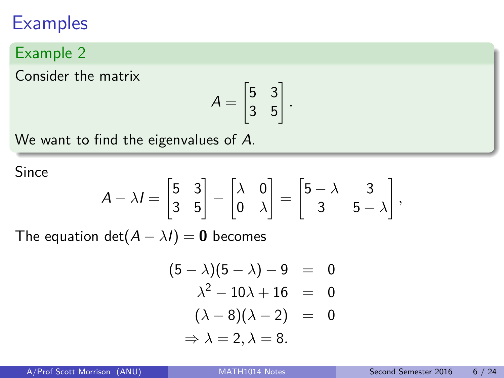### Example 2

Consider the matrix

$$
A = \begin{bmatrix} 5 & 3 \\ 3 & 5 \end{bmatrix}.
$$

We want to find the eigenvalues of A.

Since

$$
A - \lambda I = \begin{bmatrix} 5 & 3 \\ 3 & 5 \end{bmatrix} - \begin{bmatrix} \lambda & 0 \\ 0 & \lambda \end{bmatrix} = \begin{bmatrix} 5 - \lambda & 3 \\ 3 & 5 - \lambda \end{bmatrix},
$$

The equation det( $A - \lambda I$ ) = 0 becomes

$$
(5 - \lambda)(5 - \lambda) - 9 = 0
$$
  
\n
$$
\lambda^2 - 10\lambda + 16 = 0
$$
  
\n
$$
(\lambda - 8)(\lambda - 2) = 0
$$
  
\n
$$
\Rightarrow \lambda = 2, \lambda = 8.
$$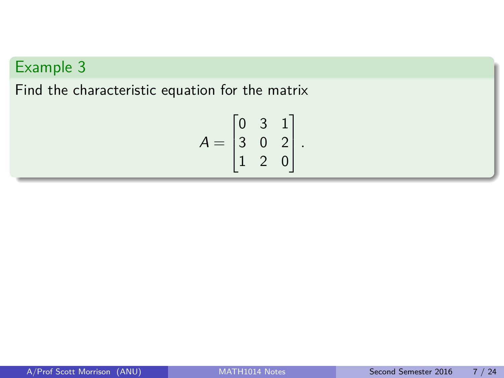Find the characteristic equation for the matrix

$$
A = \begin{bmatrix} 0 & 3 & 1 \\ 3 & 0 & 2 \\ 1 & 2 & 0 \end{bmatrix}.
$$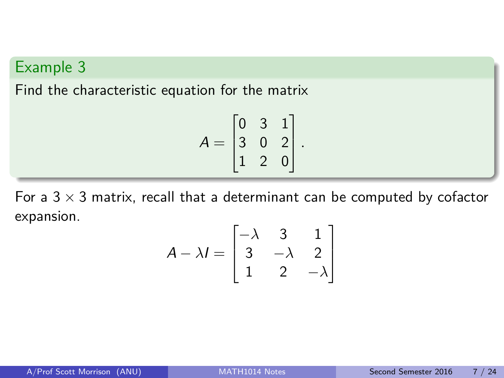Find the characteristic equation for the matrix

$$
A = \begin{bmatrix} 0 & 3 & 1 \\ 3 & 0 & 2 \\ 1 & 2 & 0 \end{bmatrix}.
$$

For a  $3 \times 3$  matrix, recall that a determinant can be computed by cofactor expansion.

$$
A - \lambda I = \begin{bmatrix} -\lambda & 3 & 1 \\ 3 & -\lambda & 2 \\ 1 & 2 & -\lambda \end{bmatrix}
$$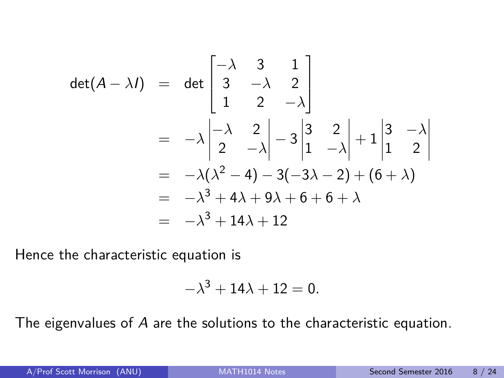$$
\det(A - \lambda I) = \det \begin{bmatrix} -\lambda & 3 & 1 \\ 3 & -\lambda & 2 \\ 1 & 2 & -\lambda \end{bmatrix}
$$
  
=  $-\lambda \begin{vmatrix} -\lambda & 2 \\ 2 & -\lambda \end{vmatrix} - 3 \begin{vmatrix} 3 & 2 \\ 1 & -\lambda \end{vmatrix} + 1 \begin{vmatrix} 3 & -\lambda \\ 1 & 2 \end{vmatrix}$   
=  $-\lambda(\lambda^2 - 4) - 3(-3\lambda - 2) + (6 + \lambda)$   
=  $-\lambda^3 + 4\lambda + 9\lambda + 6 + 6 + \lambda$   
=  $-\lambda^3 + 14\lambda + 12$ 

Hence the characteristic equation is

$$
-\lambda^3 + 14\lambda + 12 = 0.
$$

The eigenvalues of A are the solutions to the characteristic equation.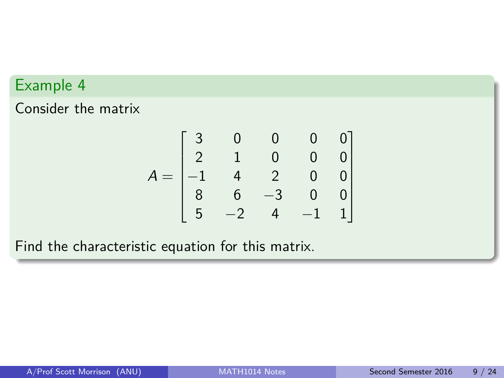Consider the matrix

$$
A = \begin{bmatrix} 3 & 0 & 0 & 0 & 0 \\ 2 & 1 & 0 & 0 & 0 \\ -1 & 4 & 2 & 0 & 0 \\ 8 & 6 & -3 & 0 & 0 \\ 5 & -2 & 4 & -1 & 1 \end{bmatrix}
$$

Find the characteristic equation for this matrix.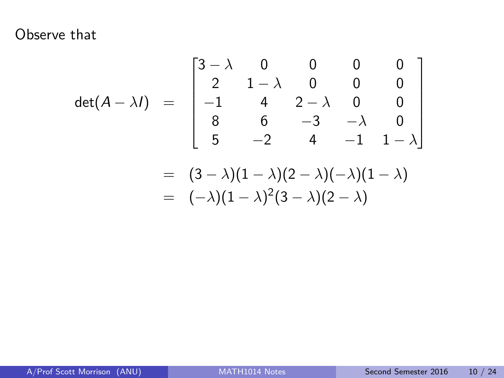Observe that

$$
\det(A - \lambda I) = \begin{bmatrix} 3 - \lambda & 0 & 0 & 0 & 0 \\ 2 & 1 - \lambda & 0 & 0 & 0 \\ -1 & 4 & 2 - \lambda & 0 & 0 \\ 8 & 6 & -3 & -\lambda & 0 \\ 5 & -2 & 4 & -1 & 1 - \lambda \end{bmatrix}
$$

$$
= (3 - \lambda)(1 - \lambda)(2 - \lambda)(-\lambda)(1 - \lambda)
$$

$$
= (-\lambda)(1 - \lambda)^2 (3 - \lambda)(2 - \lambda)
$$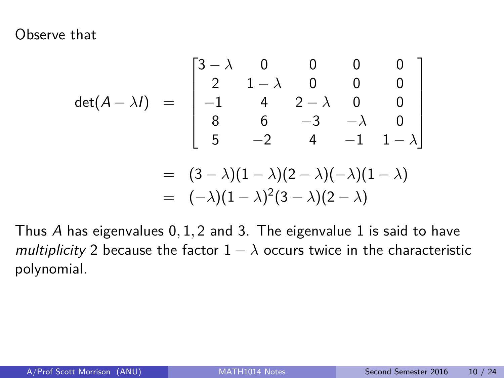Observe that

$$
\det(A - \lambda I) = \begin{bmatrix} 3 - \lambda & 0 & 0 & 0 & 0 \\ 2 & 1 - \lambda & 0 & 0 & 0 \\ -1 & 4 & 2 - \lambda & 0 & 0 \\ 8 & 6 & -3 & -\lambda & 0 \\ 5 & -2 & 4 & -1 & 1 - \lambda \end{bmatrix}
$$

$$
= (3 - \lambda)(1 - \lambda)(2 - \lambda)(-\lambda)(1 - \lambda)
$$

$$
= (-\lambda)(1 - \lambda)^2(3 - \lambda)(2 - \lambda)
$$

Thus A has eigenvalues 0*,* 1*,* 2 and 3. The eigenvalue 1 is said to have multiplicity 2 because the factor  $1 - \lambda$  occurs twice in the characteristic polynomial.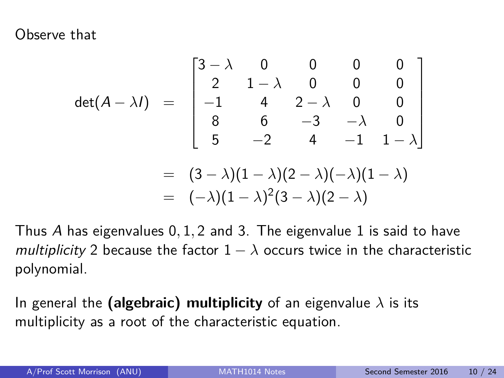Observe that

$$
\det(A - \lambda I) = \begin{bmatrix} 3 - \lambda & 0 & 0 & 0 & 0 \\ 2 & 1 - \lambda & 0 & 0 & 0 \\ -1 & 4 & 2 - \lambda & 0 & 0 \\ 8 & 6 & -3 & -\lambda & 0 \\ 5 & -2 & 4 & -1 & 1 - \lambda \end{bmatrix}
$$

$$
= (3 - \lambda)(1 - \lambda)(2 - \lambda)(-\lambda)(1 - \lambda)
$$

$$
= (-\lambda)(1 - \lambda)^2 (3 - \lambda)(2 - \lambda)
$$

Thus A has eigenvalues 0*,* 1*,* 2 and 3. The eigenvalue 1 is said to have multiplicity 2 because the factor  $1 - \lambda$  occurs twice in the characteristic polynomial.

In general the **(algebraic) multiplicity** of an eigenvalue  $\lambda$  is its multiplicity as a root of the characteristic equation.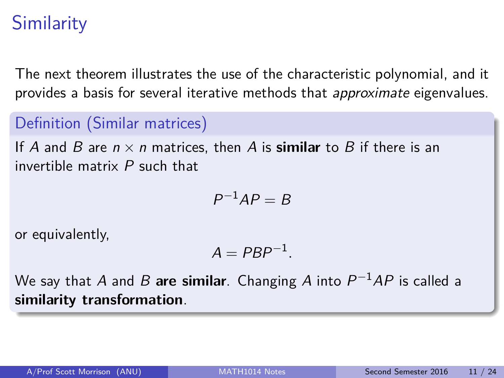## **Similarity**

The next theorem illustrates the use of the characteristic polynomial, and it provides a basis for several iterative methods that approximate eigenvalues.

### Definition (Similar matrices)

If A and B are  $n \times n$  matrices, then A is **similar** to B if there is an invertible matrix P such that

$$
P^{-1}AP=B
$$

or equivalently,

$$
A = PBP^{-1}.
$$

We say that  $A$  and  $B$  **are similar**. Changing  $A$  into  $P^{-1}AP$  is called a **similarity transformation**.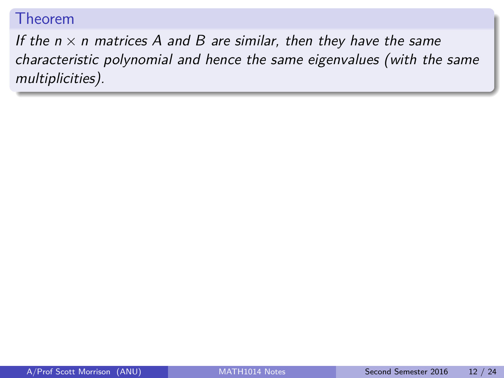If the  $n \times n$  matrices A and B are similar, then they have the same characteristic polynomial and hence the same eigenvalues (with the same multiplicities).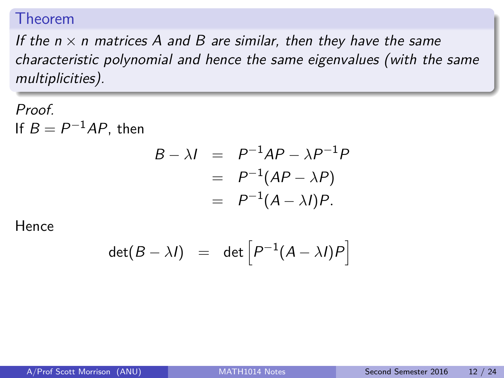If the  $n \times n$  matrices A and B are similar, then they have the same characteristic polynomial and hence the same eigenvalues (with the same multiplicities).

Proof. If  $B = P^{-1}AP$ , then

$$
B - \lambda I = P^{-1}AP - \lambda P^{-1}P
$$
  
= P<sup>-1</sup>(AP - \lambda P)  
= P<sup>-1</sup>(A - \lambda I)P.

$$
\det(B - \lambda I) = \det \left[ P^{-1}(A - \lambda I)P \right]
$$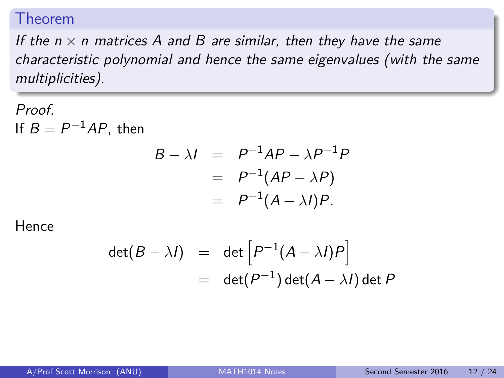If the  $n \times n$  matrices A and B are similar, then they have the same characteristic polynomial and hence the same eigenvalues (with the same multiplicities).

Proof. If  $B = P^{-1}AP$ , then

$$
B - \lambda I = P^{-1}AP - \lambda P^{-1}P
$$
  
= P<sup>-1</sup>(AP - \lambda P)  
= P<sup>-1</sup>(A - \lambda I)P.

$$
det(B - \lambda I) = det [P^{-1}(A - \lambda I)P]
$$
  
= det(P<sup>-1</sup>) det(A - \lambda I) det P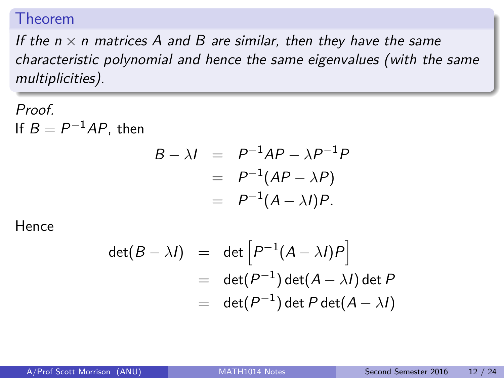If the  $n \times n$  matrices A and B are similar, then they have the same characteristic polynomial and hence the same eigenvalues (with the same multiplicities).

Proof. If  $B = P^{-1}AP$ , then

$$
B - \lambda I = P^{-1}AP - \lambda P^{-1}P
$$
  
= P<sup>-1</sup>(AP - \lambda P)  
= P<sup>-1</sup>(A - \lambda I)P.

$$
\det(B - \lambda I) = \det \left[ P^{-1} (A - \lambda I) P \right]
$$
  
= 
$$
\det(P^{-1}) \det(A - \lambda I) \det P
$$
  
= 
$$
\det(P^{-1}) \det P \det(A - \lambda I)
$$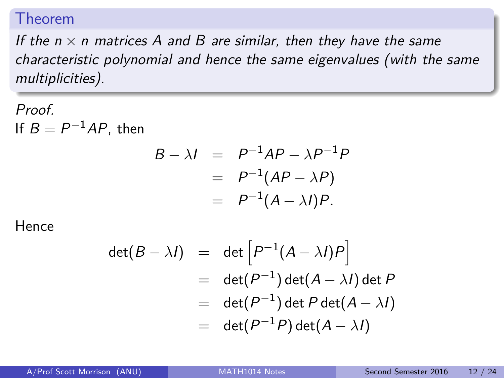If the  $n \times n$  matrices A and B are similar, then they have the same characteristic polynomial and hence the same eigenvalues (with the same multiplicities).

Proof. If  $B = P^{-1}AP$ , then

$$
B - \lambda I = P^{-1}AP - \lambda P^{-1}P
$$
  
= P<sup>-1</sup>(AP - \lambda P)  
= P<sup>-1</sup>(A - \lambda I)P.

$$
det(B - \lambda I) = det [P^{-1}(A - \lambda I)P]
$$
  
= det(P<sup>-1</sup>) det(A - \lambda I) det P  
= det(P<sup>-1</sup>) det P det(A - \lambda I)  
= det(P<sup>-1</sup>P) det(A - \lambda I)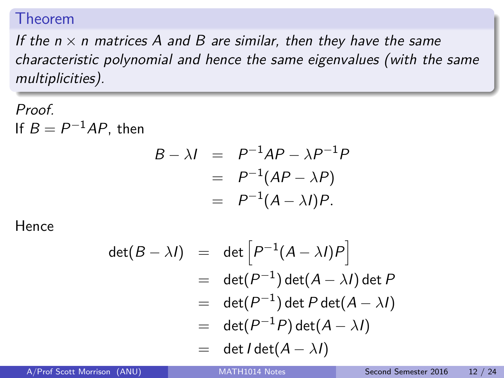If the  $n \times n$  matrices A and B are similar, then they have the same characteristic polynomial and hence the same eigenvalues (with the same multiplicities).

Proof. If  $B = P^{-1}AP$ , then

$$
B - \lambda I = P^{-1}AP - \lambda P^{-1}P
$$
  
= P<sup>-1</sup>(AP - \lambda P)  
= P<sup>-1</sup>(A - \lambda I)P.

$$
det(B - \lambda I) = det \left[ P^{-1} (A - \lambda I) P \right]
$$
  
= det(P<sup>-1</sup>) det(A - \lambda I) det P  
= det(P<sup>-1</sup>) det P det(A - \lambda I)  
= det(P<sup>-1</sup>P) det(A - \lambda I)  
= det I det(A - \lambda I)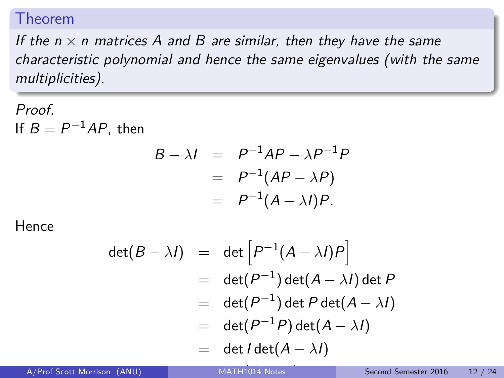If the  $n \times n$  matrices A and B are similar, then they have the same characteristic polynomial and hence the same eigenvalues (with the same multiplicities).

Proof. If  $B = P^{-1}AP$ , then

$$
B - \lambda I = P^{-1}AP - \lambda P^{-1}P
$$
  
= P<sup>-1</sup>(AP - \lambda P)  
= P<sup>-1</sup>(A - \lambda I)P.

$$
det(B - \lambda I) = det \left[ P^{-1} (A - \lambda I) P \right]
$$
  
= det(P<sup>-1</sup>) det(A - \lambda I) det P  
= det(P<sup>-1</sup>) det P det(A - \lambda I)  
= det(P<sup>-1</sup>P) det(A - \lambda I)  
= det I det(A - \lambda I)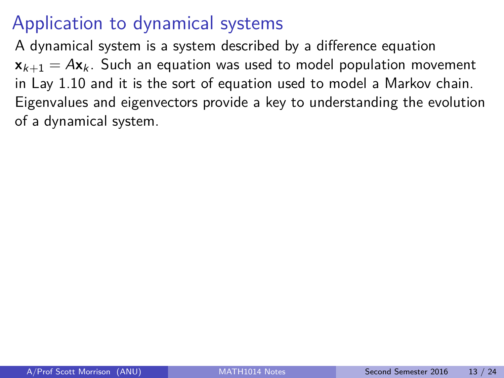A dynamical system is a system described by a difference equation  $x_{k+1} = Ax_k$ . Such an equation was used to model population movement in Lay 1.10 and it is the sort of equation used to model a Markov chain. Eigenvalues and eigenvectors provide a key to understanding the evolution of a dynamical system.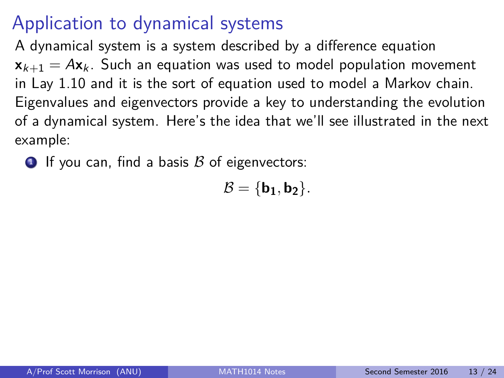A dynamical system is a system described by a difference equation  $x_{k+1} = Ax_k$ . Such an equation was used to model population movement in Lay 1.10 and it is the sort of equation used to model a Markov chain. Eigenvalues and eigenvectors provide a key to understanding the evolution of a dynamical system. Here's the idea that we'll see illustrated in the next example:

**1** If you can, find a basis  $\beta$  of eigenvectors:

 $B = \{b_1, b_2\}.$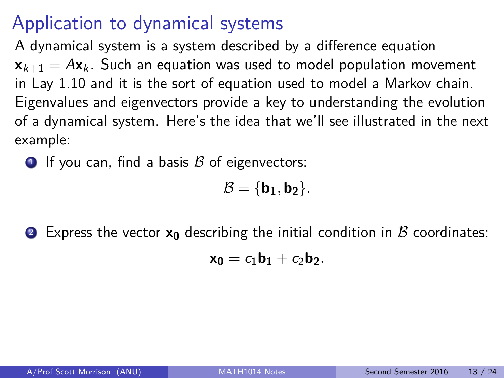A dynamical system is a system described by a difference equation  $x_{k+1} = Ax_k$ . Such an equation was used to model population movement in Lay 1.10 and it is the sort of equation used to model a Markov chain. Eigenvalues and eigenvectors provide a key to understanding the evolution of a dynamical system. Here's the idea that we'll see illustrated in the next example:

**1** If you can, find a basis  $\beta$  of eigenvectors:

$$
\mathcal{B}=\{b_1,b_2\}.
$$

**2** Express the vector  $x_0$  describing the initial condition in  $\beta$  coordinates:

$$
\mathbf{x_0}=c_1\mathbf{b_1}+c_2\mathbf{b_2}.
$$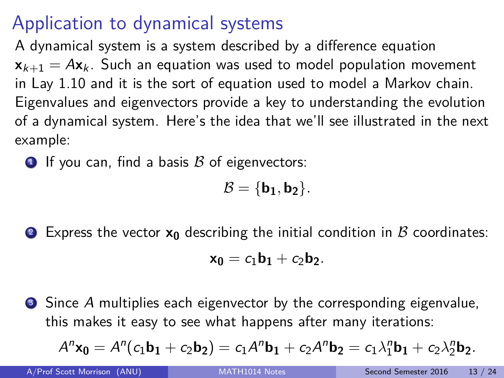A dynamical system is a system described by a difference equation  $x_{k+1} = Ax_k$ . Such an equation was used to model population movement in Lay 1.10 and it is the sort of equation used to model a Markov chain. Eigenvalues and eigenvectors provide a key to understanding the evolution of a dynamical system. Here's the idea that we'll see illustrated in the next example:

**1** If you can, find a basis  $\beta$  of eigenvectors:

$$
\mathcal{B}=\{b_1,b_2\}.
$$

**2** Express the vector  $x_0$  describing the initial condition in  $\beta$  coordinates:

$$
\mathbf{x_0}=c_1\mathbf{b_1}+c_2\mathbf{b_2}.
$$

 $\bullet$  Since A multiplies each eigenvector by the corresponding eigenvalue, this makes it easy to see what happens after many iterations:

$$
A^{n} \mathbf{x_0} = A^{n} (c_1 \mathbf{b_1} + c_2 \mathbf{b_2}) = c_1 A^{n} \mathbf{b_1} + c_2 A^{n} \mathbf{b_2} = c_1 \lambda_1^{n} \mathbf{b_1} + c_2 \lambda_2^{n} \mathbf{b_2}.
$$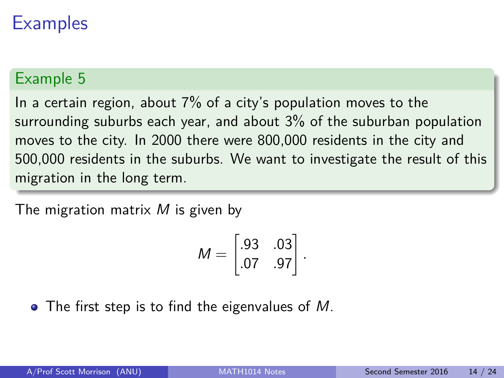### Example 5

In a certain region, about 7% of a city's population moves to the surrounding suburbs each year, and about 3% of the suburban population moves to the city. In 2000 there were 800,000 residents in the city and 500,000 residents in the suburbs. We want to investigate the result of this migration in the long term.

The migration matrix  $M$  is given by

$$
M = \begin{bmatrix} .93 & .03 \\ .07 & .97 \end{bmatrix}.
$$

 $\bullet$  The first step is to find the eigenvalues of M.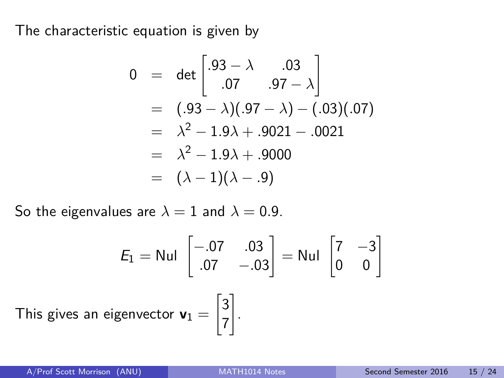The characteristic equation is given by

$$
0 = det \begin{bmatrix} .93 - \lambda & .03 \\ .07 & .97 - \lambda \end{bmatrix}
$$
  
=  $(.93 - \lambda)(.97 - \lambda) - (.03)(.07)$   
=  $\lambda^2 - 1.9\lambda + .9021 - .0021$   
=  $\lambda^2 - 1.9\lambda + .9000$   
=  $(\lambda - 1)(\lambda - .9)$ 

So the eigenvalues are  $\lambda = 1$  and  $\lambda = 0.9$ .

$$
E_1 = \text{Nul} \begin{bmatrix} -.07 & .03 \\ .07 & -.03 \end{bmatrix} = \text{Nul} \begin{bmatrix} 7 & -3 \\ 0 & 0 \end{bmatrix}
$$
  
This gives an eigenvector  $\mathbf{v}_1 = \begin{bmatrix} 3 \\ 7 \end{bmatrix}$ .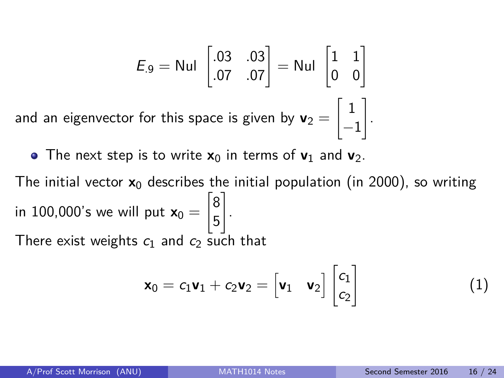$$
E_9 = \text{Nul} \begin{bmatrix} .03 & .03 \\ .07 & .07 \end{bmatrix} = \text{Nul} \begin{bmatrix} 1 & 1 \\ 0 & 0 \end{bmatrix}
$$
  
and an eigenvector for this space is given by  $\mathbf{v}_2 = \begin{bmatrix} 1 \\ -1 \end{bmatrix}$ .

• The next step is to write  $x_0$  in terms of  $v_1$  and  $v_2$ .

The initial vector  $x_0$  describes the initial population (in 2000), so writing in 100,000's we will put  $\mathsf{x}_0 =$  $\lceil 8 \rceil$ 5 1 . There exist weights  $c_1$  and  $c_2$  such that

$$
\mathbf{x}_0 = c_1 \mathbf{v}_1 + c_2 \mathbf{v}_2 = \begin{bmatrix} \mathbf{v}_1 & \mathbf{v}_2 \end{bmatrix} \begin{bmatrix} c_1 \\ c_2 \end{bmatrix}
$$
 (1)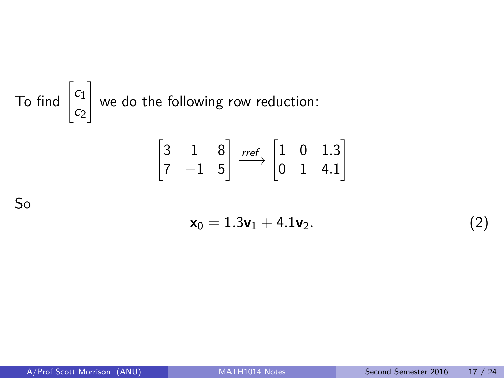#### To find  $\begin{bmatrix} c_1 \\ c_2 \end{bmatrix}$  $c<sub>2</sub>$  $\mathbb{I}$ we do the following row reduction:

 $\sqrt{ }$ 

$$
\begin{bmatrix} 3 & 1 & 8 \\ 7 & -1 & 5 \end{bmatrix} \xrightarrow{ref} \begin{bmatrix} 1 & 0 & 1.3 \\ 0 & 1 & 4.1 \end{bmatrix}
$$

So

$$
\mathbf{x}_0 = 1.3\mathbf{v}_1 + 4.1\mathbf{v}_2. \tag{2}
$$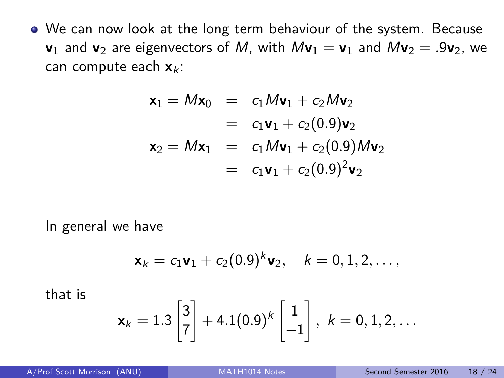We can now look at the long term behaviour of the system. Because **v**<sub>1</sub> and **v**<sub>2</sub> are eigenvectors of M, with  $M$ **v**<sub>1</sub> = **v**<sub>1</sub> and  $M$ **v**<sub>2</sub> = .9**v**<sub>2</sub>, we can compute each  $x_k$ :

$$
\mathbf{x}_1 = M\mathbf{x}_0 = c_1 M\mathbf{v}_1 + c_2 M\mathbf{v}_2
$$
  
=  $c_1 \mathbf{v}_1 + c_2 (0.9) \mathbf{v}_2$   

$$
\mathbf{x}_2 = M\mathbf{x}_1 = c_1 M\mathbf{v}_1 + c_2 (0.9) M\mathbf{v}_2
$$
  
=  $c_1 \mathbf{v}_1 + c_2 (0.9)^2 \mathbf{v}_2$ 

In general we have

$$
\mathbf{x}_k = c_1 \mathbf{v}_1 + c_2 (0.9)^k \mathbf{v}_2, \quad k = 0, 1, 2, \ldots,
$$

that is

$$
\bm{x}_k = 1.3 \begin{bmatrix} 3 \\ 7 \end{bmatrix} + 4.1(0.9)^k \begin{bmatrix} 1 \\ -1 \end{bmatrix}, \ k = 0, 1, 2, \ldots
$$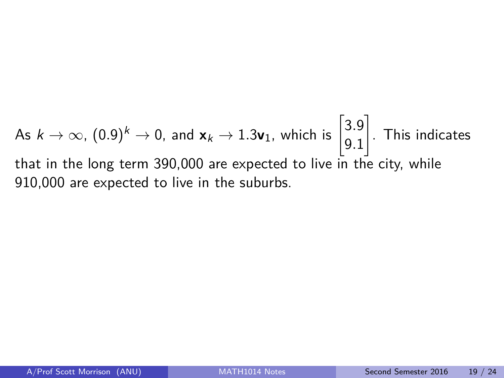As  $k \to \infty$ ,  $(0.9)^k \to 0$ , and  $\mathbf{x}_k \to 1.3\mathbf{v}_1$ , which is  $\begin{bmatrix} 3.9 \ 0.1 \end{bmatrix}$ 9*.*1 1 . This indicates that in the long term 390,000 are expected to live in the city, while 910,000 are expected to live in the suburbs.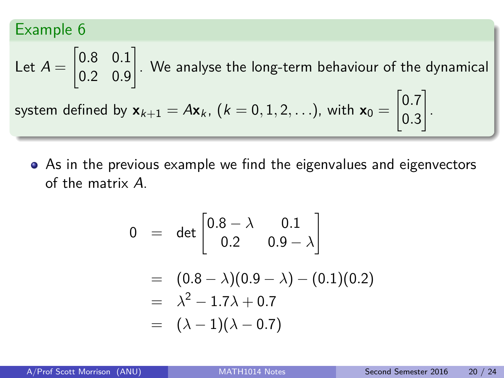Let 
$$
A = \begin{bmatrix} 0.8 & 0.1 \\ 0.2 & 0.9 \end{bmatrix}
$$
. We analyse the long-term behaviour of the dynamical  
system defined by  $\mathbf{x}_{k+1} = A\mathbf{x}_k$ ,  $(k = 0, 1, 2, ...)$ , with  $\mathbf{x}_0 = \begin{bmatrix} 0.7 \\ 0.3 \end{bmatrix}$ .

As in the previous example we find the eigenvalues and eigenvectors of the matrix A.

$$
0 = det \begin{bmatrix} 0.8 - \lambda & 0.1 \\ 0.2 & 0.9 - \lambda \end{bmatrix}
$$
  
=  $(0.8 - \lambda)(0.9 - \lambda) - (0.1)(0.2)$   
=  $\lambda^2 - 1.7\lambda + 0.7$   
=  $(\lambda - 1)(\lambda - 0.7)$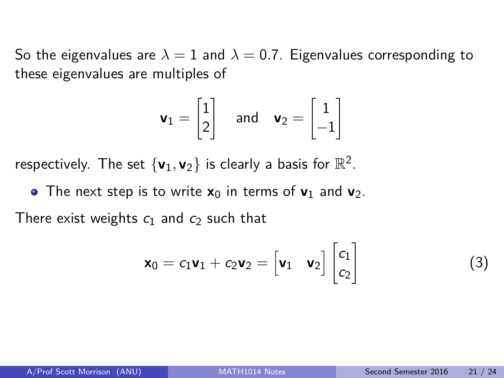So the eigenvalues are  $\lambda = 1$  and  $\lambda = 0.7$ . Eigenvalues corresponding to these eigenvalues are multiples of

$$
\mathbf{v}_1 = \begin{bmatrix} 1 \\ 2 \end{bmatrix} \quad \text{and} \quad \mathbf{v}_2 = \begin{bmatrix} 1 \\ -1 \end{bmatrix}
$$

respectively. The set  $\{v_1, v_2\}$  is clearly a basis for  $\mathbb{R}^2$ .

• The next step is to write  $x_0$  in terms of  $v_1$  and  $v_2$ .

There exist weights  $c_1$  and  $c_2$  such that

$$
\mathbf{x}_0 = c_1 \mathbf{v}_1 + c_2 \mathbf{v}_2 = \begin{bmatrix} \mathbf{v}_1 & \mathbf{v}_2 \end{bmatrix} \begin{bmatrix} c_1 \\ c_2 \end{bmatrix}
$$
 (3)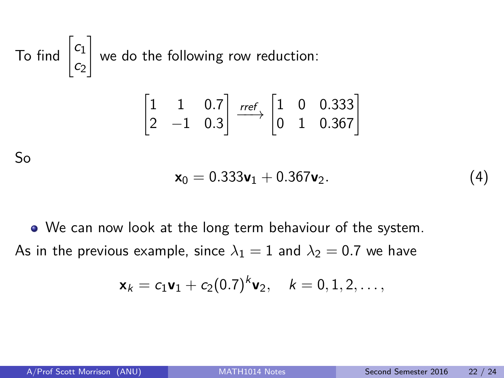To find 
$$
\begin{bmatrix} c_1 \\ c_2 \end{bmatrix}
$$
 we do the following row reduction:  
\n
$$
\begin{bmatrix} 1 & 1 & 0.7 \\ 2 & -1 & 0.3 \end{bmatrix} \xrightarrow{ref} \begin{bmatrix} 1 & 0 & 0.333 \\ 0 & 1 & 0.367 \end{bmatrix}
$$
\nSo  
\n
$$
\mathbf{x}_0 = 0.333\mathbf{v}_1 + 0.367\mathbf{v}_2.
$$
\n(4)

We can now look at the long term behaviour of the system. As in the previous example, since  $\lambda_1 = 1$  and  $\lambda_2 = 0.7$  we have

$$
\mathbf{x}_k = c_1 \mathbf{v}_1 + c_2 (0.7)^k \mathbf{v}_2, \quad k = 0, 1, 2, \ldots,
$$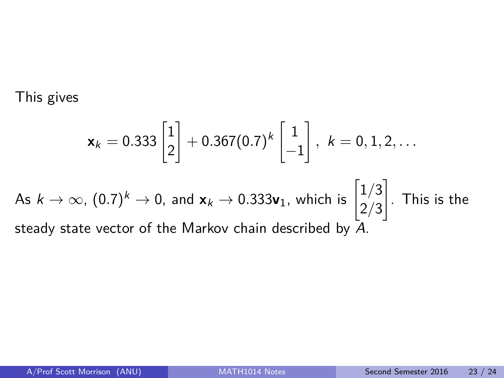This gives

$$
\mathbf{x}_k = 0.333 \begin{bmatrix} 1 \\ 2 \end{bmatrix} + 0.367(0.7)^k \begin{bmatrix} 1 \\ -1 \end{bmatrix}, k = 0, 1, 2, \dots
$$

As 
$$
k \to \infty
$$
,  $(0.7)^k \to 0$ , and  $\mathbf{x}_k \to 0.333\mathbf{v}_1$ , which is  $\begin{bmatrix} 1/3 \\ 2/3 \end{bmatrix}$ . This is the steady state vector of the Markov chain described by  $\overline{A}$ .